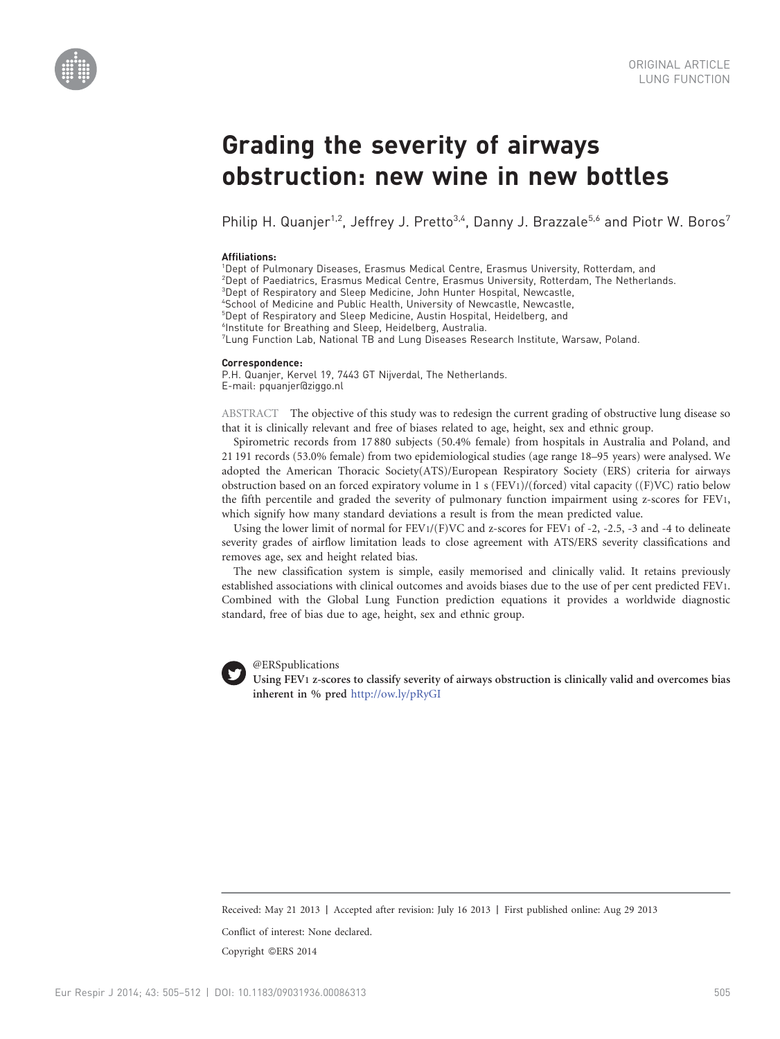



# Grading the severity of airways obstruction: new wine in new bottles

Philip H. Quanjer<sup>1,2</sup>, Jeffrey J. Pretto<sup>3,4</sup>, Danny J. Brazzale<sup>5,6</sup> and Piotr W. Boros<sup>7</sup>

## Affiliations:

1 Dept of Pulmonary Diseases, Erasmus Medical Centre, Erasmus University, Rotterdam, and

2 Dept of Paediatrics, Erasmus Medical Centre, Erasmus University, Rotterdam, The Netherlands.

3 Dept of Respiratory and Sleep Medicine, John Hunter Hospital, Newcastle,

4 School of Medicine and Public Health, University of Newcastle, Newcastle,

5 Dept of Respiratory and Sleep Medicine, Austin Hospital, Heidelberg, and

6 Institute for Breathing and Sleep, Heidelberg, Australia.

7 Lung Function Lab, National TB and Lung Diseases Research Institute, Warsaw, Poland.

#### Correspondence:

P.H. Quanjer, Kervel 19, 7443 GT Nijverdal, The Netherlands. E-mail: pquanjer@ziggo.nl

ABSTRACT The objective of this study was to redesign the current grading of obstructive lung disease so that it is clinically relevant and free of biases related to age, height, sex and ethnic group.

Spirometric records from 17 880 subjects (50.4% female) from hospitals in Australia and Poland, and 21 191 records (53.0% female) from two epidemiological studies (age range 18–95 years) were analysed. We adopted the American Thoracic Society(ATS)/European Respiratory Society (ERS) criteria for airways obstruction based on an forced expiratory volume in 1 s (FEV1)/(forced) vital capacity ((F)VC) ratio below the fifth percentile and graded the severity of pulmonary function impairment using z-scores for FEV1, which signify how many standard deviations a result is from the mean predicted value.

Using the lower limit of normal for  $FEV1/(F)VC$  and z-scores for  $FEV1$  of -2, -2.5, -3 and -4 to delineate severity grades of airflow limitation leads to close agreement with ATS/ERS severity classifications and removes age, sex and height related bias.

The new classification system is simple, easily memorised and clinically valid. It retains previously established associations with clinical outcomes and avoids biases due to the use of per cent predicted FEV1. Combined with the Global Lung Function prediction equations it provides a worldwide diagnostic standard, free of bias due to age, height, sex and ethnic group.



@ERSpublications

Using FEV1 z-scores to classify severity of airways obstruction is clinically valid and overcomes bias inherent in % pred <http://ow.ly/pRyGI>

Received: May 21 2013 | Accepted after revision: July 16 2013 | First published online: Aug 29 2013

Conflict of interest: None declared.

Copyright ©ERS 2014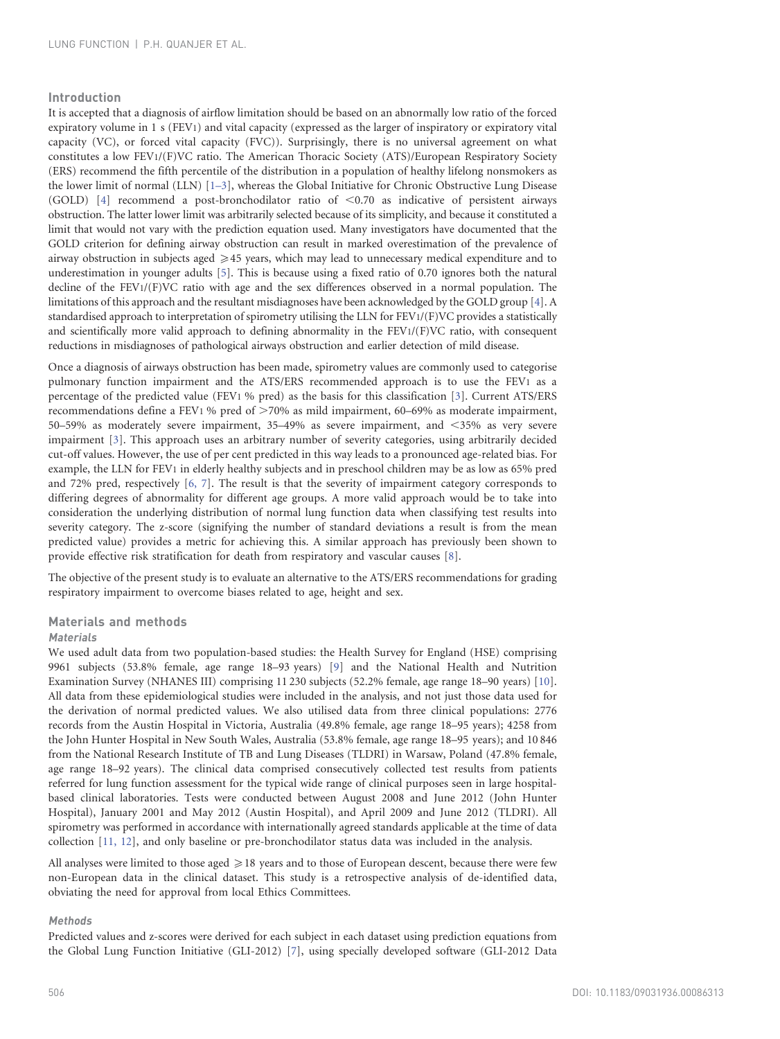## Introduction

It is accepted that a diagnosis of airflow limitation should be based on an abnormally low ratio of the forced expiratory volume in 1 s (FEV1) and vital capacity (expressed as the larger of inspiratory or expiratory vital capacity (VC), or forced vital capacity (FVC)). Surprisingly, there is no universal agreement on what constitutes a low FEV1/(F)VC ratio. The American Thoracic Society (ATS)/European Respiratory Society (ERS) recommend the fifth percentile of the distribution in a population of healthy lifelong nonsmokers as the lower limit of normal (LLN) [\[1–3\],](#page-7-0) whereas the Global Initiative for Chronic Obstructive Lung Disease (GOLD)  $[4]$  recommend a post-bronchodilator ratio of <0.70 as indicative of persistent airways obstruction. The latter lower limit was arbitrarily selected because of its simplicity, and because it constituted a limit that would not vary with the prediction equation used. Many investigators have documented that the GOLD criterion for defining airway obstruction can result in marked overestimation of the prevalence of airway obstruction in subjects aged  $\geqslant$  45 years, which may lead to unnecessary medical expenditure and to underestimation in younger adults [\[5\]](#page-7-0). This is because using a fixed ratio of 0.70 ignores both the natural decline of the FEV1/(F)VC ratio with age and the sex differences observed in a normal population. The limitations of this approach and the resultant misdiagnoses have been acknowledged by the GOLD group [\[4\].](#page-7-0) A standardised approach to interpretation of spirometry utilising the LLN for FEV1/(F)VC provides a statistically and scientifically more valid approach to defining abnormality in the FEV1/(F)VC ratio, with consequent reductions in misdiagnoses of pathological airways obstruction and earlier detection of mild disease.

Once a diagnosis of airways obstruction has been made, spirometry values are commonly used to categorise pulmonary function impairment and the ATS/ERS recommended approach is to use the FEV1 as a percentage of the predicted value (FEV1 % pred) as the basis for this classification [\[3\]](#page-7-0). Current ATS/ERS recommendations define a FEV1 % pred of  $>70\%$  as mild impairment, 60–69% as moderate impairment, 50–59% as moderately severe impairment, 35–49% as severe impairment, and <35% as very severe impairment [\[3\]](#page-7-0). This approach uses an arbitrary number of severity categories, using arbitrarily decided cut-off values. However, the use of per cent predicted in this way leads to a pronounced age-related bias. For example, the LLN for FEV1 in elderly healthy subjects and in preschool children may be as low as 65% pred and 72% pred, respectively [\[6, 7\]](#page-7-0). The result is that the severity of impairment category corresponds to differing degrees of abnormality for different age groups. A more valid approach would be to take into consideration the underlying distribution of normal lung function data when classifying test results into severity category. The z-score (signifying the number of standard deviations a result is from the mean predicted value) provides a metric for achieving this. A similar approach has previously been shown to provide effective risk stratification for death from respiratory and vascular causes [\[8\]](#page-7-0).

The objective of the present study is to evaluate an alternative to the ATS/ERS recommendations for grading respiratory impairment to overcome biases related to age, height and sex.

## Materials and methods

#### Materials

We used adult data from two population-based studies: the Health Survey for England (HSE) comprising 9961 subjects (53.8% female, age range 18–93 years) [\[9\]](#page-7-0) and the National Health and Nutrition Examination Survey (NHANES III) comprising 11 230 subjects (52.2% female, age range 18–90 years) [\[10\]](#page-7-0). All data from these epidemiological studies were included in the analysis, and not just those data used for the derivation of normal predicted values. We also utilised data from three clinical populations: 2776 records from the Austin Hospital in Victoria, Australia (49.8% female, age range 18–95 years); 4258 from the John Hunter Hospital in New South Wales, Australia (53.8% female, age range 18–95 years); and 10 846 from the National Research Institute of TB and Lung Diseases (TLDRI) in Warsaw, Poland (47.8% female, age range 18–92 years). The clinical data comprised consecutively collected test results from patients referred for lung function assessment for the typical wide range of clinical purposes seen in large hospitalbased clinical laboratories. Tests were conducted between August 2008 and June 2012 (John Hunter Hospital), January 2001 and May 2012 (Austin Hospital), and April 2009 and June 2012 (TLDRI). All spirometry was performed in accordance with internationally agreed standards applicable at the time of data collection [\[11, 12\],](#page-7-0) and only baseline or pre-bronchodilator status data was included in the analysis.

All analyses were limited to those aged  $\geqslant$  18 years and to those of European descent, because there were few non-European data in the clinical dataset. This study is a retrospective analysis of de-identified data, obviating the need for approval from local Ethics Committees.

## Methods

Predicted values and z-scores were derived for each subject in each dataset using prediction equations from the Global Lung Function Initiative (GLI-2012) [\[7\],](#page-7-0) using specially developed software (GLI-2012 Data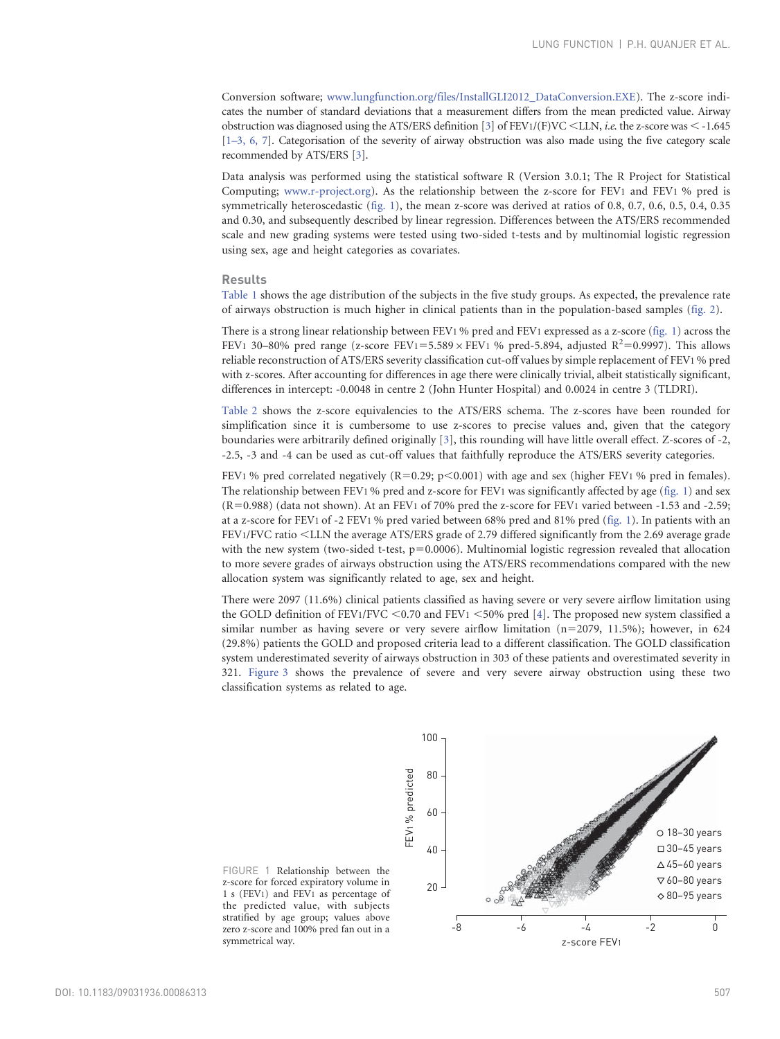Conversion software; [www.lungfunction.org/files/InstallGLI2012\\_DataConversion.EXE\)](www.lungfunction.org/files/InstallGLI2012_DataConversion.EXE). The z-score indicates the number of standard deviations that a measurement differs from the mean predicted value. Airway obstruction was diagnosed using the ATS/ERS definition [\[3\]](#page-7-0) of  $FEV1/(F)VC < LLN$ , *i.e.* the z-score was < -1.645 [\[1–3, 6, 7\].](#page-7-0) Categorisation of the severity of airway obstruction was also made using the five category scale recommended by ATS/ERS [\[3\]](#page-7-0).

Data analysis was performed using the statistical software R (Version 3.0.1; The R Project for Statistical Computing; <www.r-project.org>). As the relationship between the z-score for FEV1 and FEV1 % pred is symmetrically heteroscedastic (fig. 1), the mean z-score was derived at ratios of 0.8, 0.7, 0.6, 0.5, 0.4, 0.35 and 0.30, and subsequently described by linear regression. Differences between the ATS/ERS recommended scale and new grading systems were tested using two-sided t-tests and by multinomial logistic regression using sex, age and height categories as covariates.

#### Results

[Table 1](#page-3-0) shows the age distribution of the subjects in the five study groups. As expected, the prevalence rate of airways obstruction is much higher in clinical patients than in the population-based samples ([fig. 2\)](#page-3-0).

There is a strong linear relationship between FEV1 % pred and FEV1 expressed as a z-score (fig. 1) across the FEV1 30-80% pred range (z-score FEV1=5.589  $\times$  FEV1 % pred-5.894, adjusted R<sup>2</sup>=0.9997). This allows reliable reconstruction of ATS/ERS severity classification cut-off values by simple replacement of FEV1 % pred with z-scores. After accounting for differences in age there were clinically trivial, albeit statistically significant, differences in intercept: -0.0048 in centre 2 (John Hunter Hospital) and 0.0024 in centre 3 (TLDRI).

[Table 2](#page-4-0) shows the z-score equivalencies to the ATS/ERS schema. The z-scores have been rounded for simplification since it is cumbersome to use z-scores to precise values and, given that the category boundaries were arbitrarily defined originally [\[3\]](#page-7-0), this rounding will have little overall effect. Z-scores of -2, -2.5, -3 and -4 can be used as cut-off values that faithfully reproduce the ATS/ERS severity categories.

FEV1 % pred correlated negatively  $(R=0.29; p<0.001)$  with age and sex (higher FEV1 % pred in females). The relationship between FEV1 % pred and z-score for FEV1 was significantly affected by age (fig. 1) and sex  $(R=0.988)$  (data not shown). At an FEV1 of 70% pred the z-score for FEV1 varied between -1.53 and -2.59; at a z-score for FEV1 of -2 FEV1 % pred varied between 68% pred and 81% pred (fig. 1). In patients with an FEV1/FVC ratio <LLN the average ATS/ERS grade of 2.79 differed significantly from the 2.69 average grade with the new system (two-sided t-test,  $p=0.0006$ ). Multinomial logistic regression revealed that allocation to more severe grades of airways obstruction using the ATS/ERS recommendations compared with the new allocation system was significantly related to age, sex and height.

There were 2097 (11.6%) clinical patients classified as having severe or very severe airflow limitation using the GOLD definition of FEV1/FVC  $\leq$  0.70 and FEV1  $\leq$  50% pred [\[4\].](#page-7-0) The proposed new system classified a similar number as having severe or very severe airflow limitation  $(n=2079, 11.5\%)$ ; however, in 624 (29.8%) patients the GOLD and proposed criteria lead to a different classification. The GOLD classification system underestimated severity of airways obstruction in 303 of these patients and overestimated severity in 321. [Figure 3](#page-4-0) shows the prevalence of severe and very severe airway obstruction using these two classification systems as related to age.



FIGURE 1 Relationship between the z-score for forced expiratory volume in 1 s (FEV1) and FEV1 as percentage of the predicted value, with subjects stratified by age group; values above zero z-score and 100% pred fan out in a symmetrical way.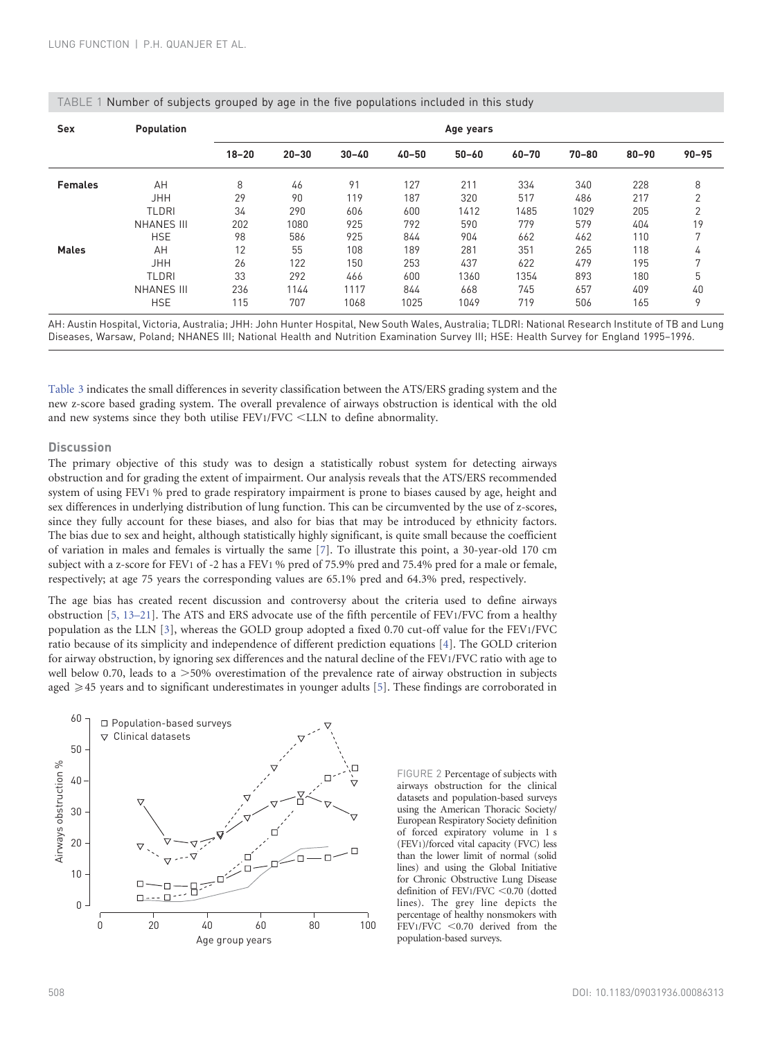| <b>Sex</b>     | <b>Population</b>                        | Age years        |                    |                     |                    |                     |                    |                   |                   |                   |
|----------------|------------------------------------------|------------------|--------------------|---------------------|--------------------|---------------------|--------------------|-------------------|-------------------|-------------------|
|                |                                          | $18 - 20$        | $20 - 30$          | $30 - 40$           | $40 - 50$          | $50 - 60$           | $60 - 70$          | 70-80             | $80 - 90$         | $90 - 95$         |
| <b>Females</b> | AH<br><b>JHH</b>                         | 8<br>29          | 46<br>90           | 91<br>119           | 127<br>187         | 211<br>320          | 334<br>517         | 340<br>486        | 228<br>217        | 8<br>C            |
|                | TLDRI<br><b>NHANES III</b>               | 34<br>202        | 290<br>1080        | 606<br>925          | 600<br>792         | 1412<br>590         | 1485<br>779        | 1029<br>579       | 205<br>404        | C<br>19           |
|                | <b>HSE</b>                               | 98               | 586<br>55          | 925<br>108          | 844<br>189         | 904<br>281          | 662<br>351         | 462               | 110<br>118        | 7                 |
| <b>Males</b>   | AH<br><b>JHH</b>                         | 12<br>26         | 122                | 150                 | 253                | 437                 | 622                | 265<br>479        | 195               | 4<br>$\mathbf{r}$ |
|                | TLDRI<br><b>NHANES III</b><br><b>HSE</b> | 33<br>236<br>115 | 292<br>1144<br>707 | 466<br>1117<br>1068 | 600<br>844<br>1025 | 1360<br>668<br>1049 | 1354<br>745<br>719 | 893<br>657<br>506 | 180<br>409<br>165 | 5<br>40<br>9      |
|                |                                          |                  |                    |                     |                    |                     |                    |                   |                   |                   |

## <span id="page-3-0"></span>TABLE 1 Number of subjects grouped by age in the five populations included in this study

AH: Austin Hospital, Victoria, Australia; JHH: John Hunter Hospital, New South Wales, Australia; TLDRI: National Research Institute of TB and Lung Diseases, Warsaw, Poland; NHANES III; National Health and Nutrition Examination Survey III; HSE: Health Survey for England 1995–1996.

[Table 3](#page-5-0) indicates the small differences in severity classification between the ATS/ERS grading system and the new z-score based grading system. The overall prevalence of airways obstruction is identical with the old and new systems since they both utilise  $FEV1/FVC < LLN$  to define abnormality.

## **Discussion**

The primary objective of this study was to design a statistically robust system for detecting airways obstruction and for grading the extent of impairment. Our analysis reveals that the ATS/ERS recommended system of using FEV1 % pred to grade respiratory impairment is prone to biases caused by age, height and sex differences in underlying distribution of lung function. This can be circumvented by the use of z-scores, since they fully account for these biases, and also for bias that may be introduced by ethnicity factors. The bias due to sex and height, although statistically highly significant, is quite small because the coefficient of variation in males and females is virtually the same [\[7\]](#page-7-0). To illustrate this point, a 30-year-old 170 cm subject with a z-score for FEV1 of -2 has a FEV1 % pred of 75.9% pred and 75.4% pred for a male or female, respectively; at age 75 years the corresponding values are 65.1% pred and 64.3% pred, respectively.

The age bias has created recent discussion and controversy about the criteria used to define airways obstruction [\[5, 13–21\].](#page-7-0) The ATS and ERS advocate use of the fifth percentile of FEV1/FVC from a healthy population as the LLN [\[3\]](#page-7-0), whereas the GOLD group adopted a fixed 0.70 cut-off value for the FEV1/FVC ratio because of its simplicity and independence of different prediction equations [\[4\]](#page-7-0). The GOLD criterion for airway obstruction, by ignoring sex differences and the natural decline of the FEV1/FVC ratio with age to well below 0.70, leads to a  $>50\%$  overestimation of the prevalence rate of airway obstruction in subjects aged  $\geq$  45 years and to significant underestimates in younger adults [\[5\].](#page-7-0) These findings are corroborated in



FIGURE 2 Percentage of subjects with airways obstruction for the clinical datasets and population-based surveys using the American Thoracic Society/ European Respiratory Society definition of forced expiratory volume in 1 s (FEV1)/forced vital capacity (FVC) less than the lower limit of normal (solid lines) and using the Global Initiative for Chronic Obstructive Lung Disease definition of FEV1/FVC  $< 0.70$  (dotted lines). The grey line depicts the percentage of healthy nonsmokers with  $FEV1/FVC < 0.70$  derived from the population-based surveys.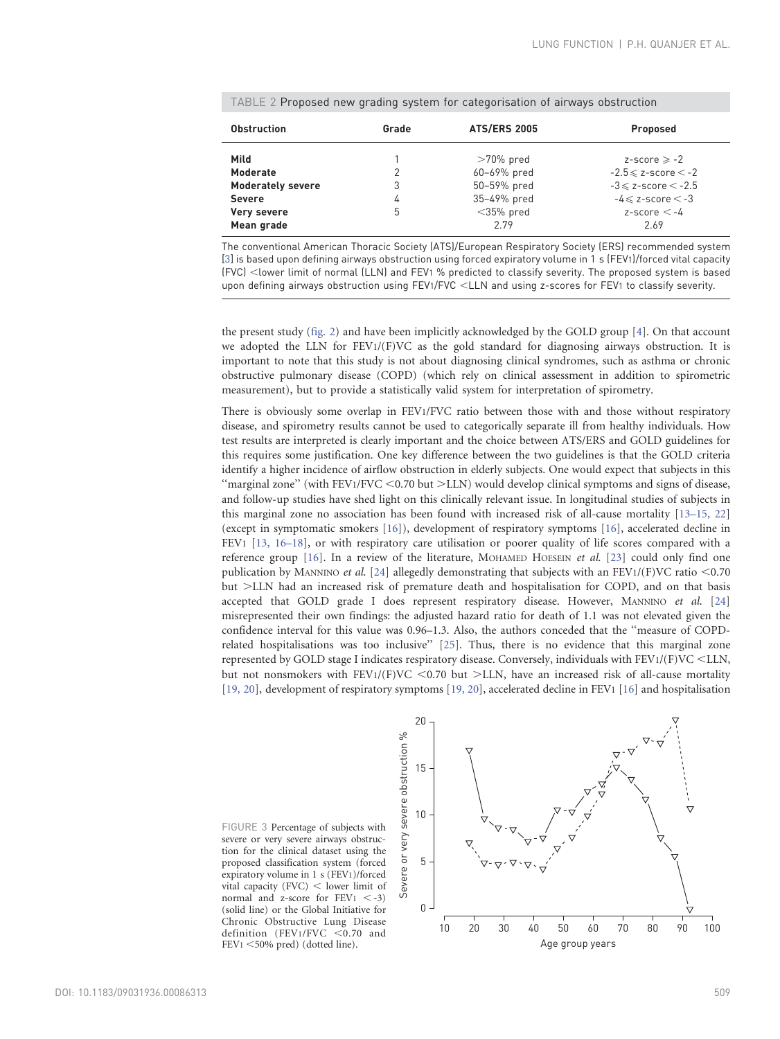| <b>Obstruction</b>       | Grade | <b>ATS/ERS 2005</b> | Proposed                      |
|--------------------------|-------|---------------------|-------------------------------|
| Mild                     |       | $>70\%$ pred        | $z$ -score $\ge$ -2           |
| <b>Moderate</b>          | 2     | 60-69% pred         | $-2.5 \leq$ z-score $\leq$ -2 |
| <b>Moderately severe</b> | 3     | 50-59% pred         | $-3 \leq$ z-score $\leq$ -2.5 |
| <b>Severe</b>            | 4     | 35-49% pred         | $-4 \leq$ z-score $\leq$ -3   |
| Very severe              | 5     | $<$ 35% pred        | $z$ -score $\lt$ -4           |
| Mean grade               |       | 279                 | 2.69                          |

<span id="page-4-0"></span>TABLE 2 Proposed new grading system for categorisation of airways obstruction

The conventional American Thoracic Society (ATS)/European Respiratory Society (ERS) recommended system [\[3\]](#page-7-0) is based upon defining airways obstruction using forced expiratory volume in 1 s (FEV1)/forced vital capacity (FVC) <lower limit of normal (LLN) and FEV1 % predicted to classify severity. The proposed system is based upon defining airways obstruction using FEV1/FVC <LLN and using z-scores for FEV1 to classify severity.

the present study [\(fig. 2](#page-3-0)) and have been implicitly acknowledged by the GOLD group [\[4\].](#page-7-0) On that account we adopted the LLN for  $FEV1/(F)VC$  as the gold standard for diagnosing airways obstruction. It is important to note that this study is not about diagnosing clinical syndromes, such as asthma or chronic obstructive pulmonary disease (COPD) (which rely on clinical assessment in addition to spirometric measurement), but to provide a statistically valid system for interpretation of spirometry.

There is obviously some overlap in FEV1/FVC ratio between those with and those without respiratory disease, and spirometry results cannot be used to categorically separate ill from healthy individuals. How test results are interpreted is clearly important and the choice between ATS/ERS and GOLD guidelines for this requires some justification. One key difference between the two guidelines is that the GOLD criteria identify a higher incidence of airflow obstruction in elderly subjects. One would expect that subjects in this "marginal zone" (with FEV1/FVC  $<$  0.70 but  $>$  LLN) would develop clinical symptoms and signs of disease, and follow-up studies have shed light on this clinically relevant issue. In longitudinal studies of subjects in this marginal zone no association has been found with increased risk of all-cause mortality [\[13–15, 22\]](#page-7-0) (except in symptomatic smokers [\[16\]](#page-7-0)), development of respiratory symptoms [\[16\]](#page-7-0), accelerated decline in FEV1 [\[13, 16–18\],](#page-7-0) or with respiratory care utilisation or poorer quality of life scores compared with a reference group [\[16\].](#page-7-0) In a review of the literature, MOHAMED HOESEIN et al. [\[23\]](#page-7-0) could only find one publication by MANNINO et al. [\[24\]](#page-7-0) allegedly demonstrating that subjects with an FEV1/(F)VC ratio  $< 0.70$ but >LLN had an increased risk of premature death and hospitalisation for COPD, and on that basis accepted that GOLD grade I does represent respiratory disease. However, MANNINO et al. [\[24\]](#page-7-0) misrepresented their own findings: the adjusted hazard ratio for death of 1.1 was not elevated given the confidence interval for this value was 0.96–1.3. Also, the authors conceded that the ''measure of COPDrelated hospitalisations was too inclusive'' [\[25\].](#page-7-0) Thus, there is no evidence that this marginal zone represented by GOLD stage I indicates respiratory disease. Conversely, individuals with FEV1/(F)VC <LLN, but not nonsmokers with  $FEV1/(F)VC < 0.70$  but  $>LLN$ , have an increased risk of all-cause mortality [\[19, 20\],](#page-7-0) development of respiratory symptoms [\[19, 20\],](#page-7-0) accelerated decline in FEV1 [\[16\]](#page-7-0) and hospitalisation

FIGURE 3 Percentage of subjects with severe or very severe airways obstruction for the clinical dataset using the proposed classification system (forced expiratory volume in 1 s (FEV1)/forced vital capacity (FVC)  $<$  lower limit of normal and z-score for  $FEV1 < -3$ ) (solid line) or the Global Initiative for Chronic Obstructive Lung Disease definition (FEV1/FVC  $< 0.70$  and  $FEV1 < 50\%$  pred) (dotted line).

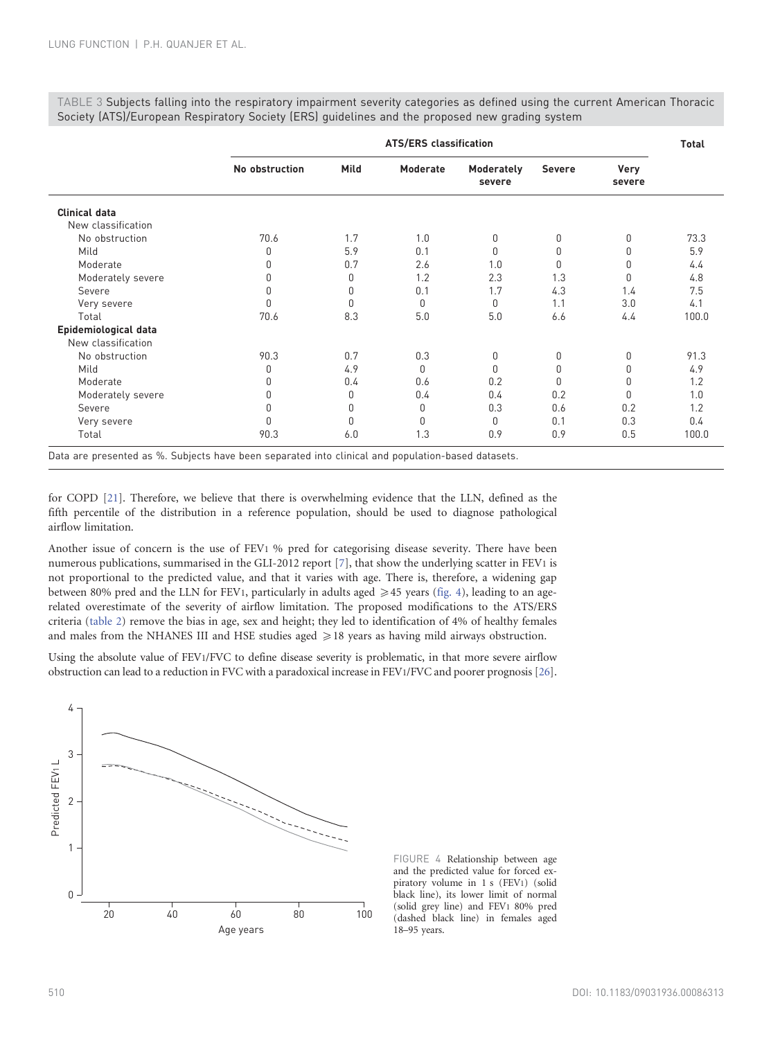ATS/ERS classification Total No obstruction Mild Moderate Moderately severe Severe Very severe Clinical data New classification No obstruction 70.6 1.7 1.0 0 0 0 73.3 Mild 0 5.9 0.1 0 0 0 5.9 Moderate 0 0.7 2.6 1.0 0 0 4.4 Moderately severe 0 0 0 1.2 2.3 1.3 0 4.8 Severe 0 0 0.1 1.7 4.3 1.4 7.5 Very severe 0 0 0 0 1.1 3.0 4.1 Total 70.6 8.3 5.0 5.0 6.6 4.4 100.0 Epidemiological data New classification No obstruction 90.3 0.7 0.3 0 0 0 91.3 Mild 0 4.9 0 0 0 0 4.9 Moderate 0 0.4 0.6 0.2 0 0 1.2 Moderately severe  $1.0$  0 0 0.4 0.2 0 1.0 Severe 0 0 0 0.3 0.6 0.2 1.2 Very severe 0 0 0 0 0.1 0.3 0.4 Total 90.3 6.0 1.3 0.9 0.9 0.5 100.0

<span id="page-5-0"></span>TABLE 3 Subjects falling into the respiratory impairment severity categories as defined using the current American Thoracic Society (ATS)/European Respiratory Society (ERS) guidelines and the proposed new grading system

Data are presented as %. Subjects have been separated into clinical and population-based datasets.

for COPD [\[21\].](#page-7-0) Therefore, we believe that there is overwhelming evidence that the LLN, defined as the fifth percentile of the distribution in a reference population, should be used to diagnose pathological airflow limitation.

Another issue of concern is the use of FEV1 % pred for categorising disease severity. There have been numerous publications, summarised in the GLI-2012 report [\[7\],](#page-7-0) that show the underlying scatter in FEV1 is not proportional to the predicted value, and that it varies with age. There is, therefore, a widening gap between 80% pred and the LLN for FEV1, particularly in adults aged  $\geq 45$  years (fig. 4), leading to an agerelated overestimate of the severity of airflow limitation. The proposed modifications to the ATS/ERS criteria [\(table 2\)](#page-4-0) remove the bias in age, sex and height; they led to identification of 4% of healthy females and males from the NHANES III and HSE studies aged  $\geq$  18 years as having mild airways obstruction.

Using the absolute value of FEV1/FVC to define disease severity is problematic, in that more severe airflow obstruction can lead to a reduction in FVC with a paradoxical increase in FEV1/FVC and poorer prognosis [\[26\]](#page-7-0).



FIGURE 4 Relationship between age and the predicted value for forced expiratory volume in 1 s (FEV1) (solid black line), its lower limit of normal (solid grey line) and FEV1 80% pred (dashed black line) in females aged 18–95 years.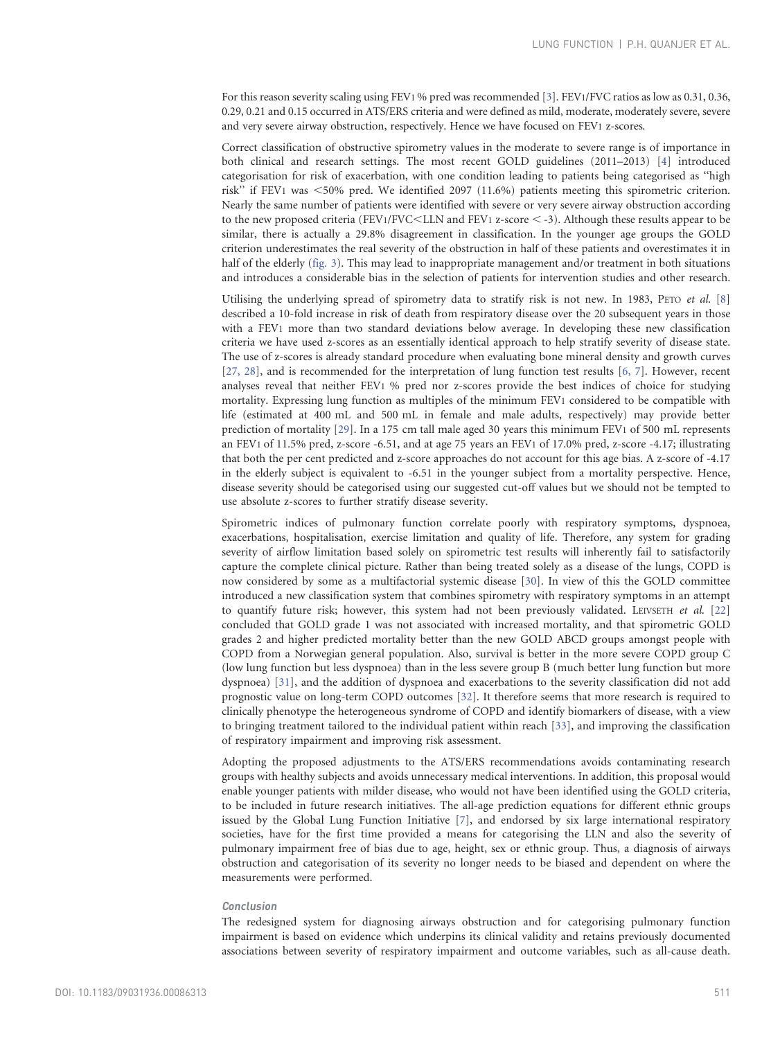For this reason severity scaling using FEV1 % pred was recommended [\[3\].](#page-7-0) FEV1/FVC ratios as low as 0.31, 0.36, 0.29, 0.21 and 0.15 occurred in ATS/ERS criteria and were defined as mild, moderate, moderately severe, severe and very severe airway obstruction, respectively. Hence we have focused on FEV1 z-scores.

Correct classification of obstructive spirometry values in the moderate to severe range is of importance in both clinical and research settings. The most recent GOLD guidelines (2011–2013) [\[4\]](#page-7-0) introduced categorisation for risk of exacerbation, with one condition leading to patients being categorised as ''high risk" if FEV1 was  $<50\%$  pred. We identified 2097 (11.6%) patients meeting this spirometric criterion. Nearly the same number of patients were identified with severe or very severe airway obstruction according to the new proposed criteria (FEV1/FVC<LLN and FEV1 z-score  $\lt$  -3). Although these results appear to be similar, there is actually a 29.8% disagreement in classification. In the younger age groups the GOLD criterion underestimates the real severity of the obstruction in half of these patients and overestimates it in half of the elderly ([fig. 3](#page-4-0)). This may lead to inappropriate management and/or treatment in both situations and introduces a considerable bias in the selection of patients for intervention studies and other research.

Utilising the underlying spread of spirometry data to stratify risk is not new. In 1983, PETO et al. [\[8\]](#page-7-0) described a 10-fold increase in risk of death from respiratory disease over the 20 subsequent years in those with a FEV1 more than two standard deviations below average. In developing these new classification criteria we have used z-scores as an essentially identical approach to help stratify severity of disease state. The use of z-scores is already standard procedure when evaluating bone mineral density and growth curves [\[27, 28\],](#page-7-0) and is recommended for the interpretation of lung function test results [\[6, 7\].](#page-7-0) However, recent analyses reveal that neither FEV1 % pred nor z-scores provide the best indices of choice for studying mortality. Expressing lung function as multiples of the minimum FEV1 considered to be compatible with life (estimated at 400 mL and 500 mL in female and male adults, respectively) may provide better prediction of mortality [\[29\]](#page-7-0). In a 175 cm tall male aged 30 years this minimum FEV1 of 500 mL represents an FEV1 of 11.5% pred, z-score -6.51, and at age 75 years an FEV1 of 17.0% pred, z-score -4.17; illustrating that both the per cent predicted and z-score approaches do not account for this age bias. A z-score of -4.17 in the elderly subject is equivalent to -6.51 in the younger subject from a mortality perspective. Hence, disease severity should be categorised using our suggested cut-off values but we should not be tempted to use absolute z-scores to further stratify disease severity.

Spirometric indices of pulmonary function correlate poorly with respiratory symptoms, dyspnoea, exacerbations, hospitalisation, exercise limitation and quality of life. Therefore, any system for grading severity of airflow limitation based solely on spirometric test results will inherently fail to satisfactorily capture the complete clinical picture. Rather than being treated solely as a disease of the lungs, COPD is now considered by some as a multifactorial systemic disease [\[30\]](#page-7-0). In view of this the GOLD committee introduced a new classification system that combines spirometry with respiratory symptoms in an attempt to quantify future risk; however, this system had not been previously validated. LEIVSETH et al. [\[22\]](#page-7-0) concluded that GOLD grade 1 was not associated with increased mortality, and that spirometric GOLD grades 2 and higher predicted mortality better than the new GOLD ABCD groups amongst people with COPD from a Norwegian general population. Also, survival is better in the more severe COPD group C (low lung function but less dyspnoea) than in the less severe group B (much better lung function but more dyspnoea) [\[31\],](#page-7-0) and the addition of dyspnoea and exacerbations to the severity classification did not add prognostic value on long-term COPD outcomes [\[32\]](#page-7-0). It therefore seems that more research is required to clinically phenotype the heterogeneous syndrome of COPD and identify biomarkers of disease, with a view to bringing treatment tailored to the individual patient within reach [\[33\]](#page-7-0), and improving the classification of respiratory impairment and improving risk assessment.

Adopting the proposed adjustments to the ATS/ERS recommendations avoids contaminating research groups with healthy subjects and avoids unnecessary medical interventions. In addition, this proposal would enable younger patients with milder disease, who would not have been identified using the GOLD criteria, to be included in future research initiatives. The all-age prediction equations for different ethnic groups issued by the Global Lung Function Initiative [\[7\],](#page-7-0) and endorsed by six large international respiratory societies, have for the first time provided a means for categorising the LLN and also the severity of pulmonary impairment free of bias due to age, height, sex or ethnic group. Thus, a diagnosis of airways obstruction and categorisation of its severity no longer needs to be biased and dependent on where the measurements were performed.

#### Conclusion

The redesigned system for diagnosing airways obstruction and for categorising pulmonary function impairment is based on evidence which underpins its clinical validity and retains previously documented associations between severity of respiratory impairment and outcome variables, such as all-cause death.